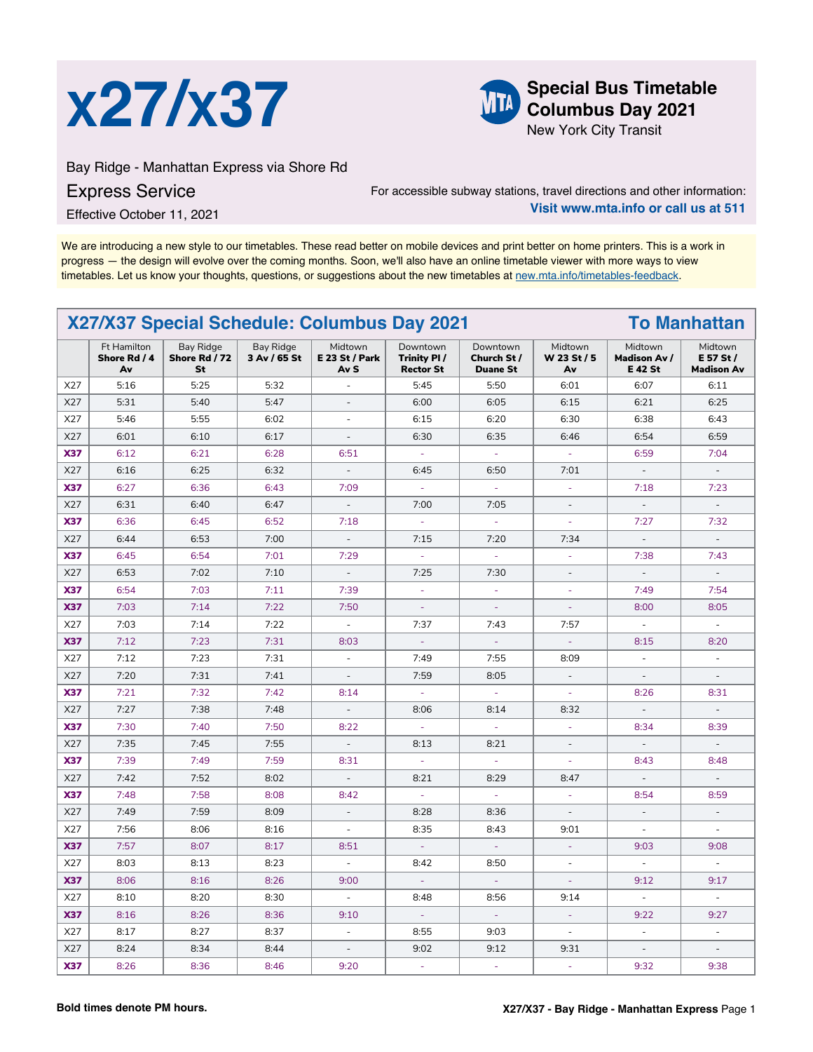



**Columbus Day 2021**

New York City Transit

Bay Ridge - Manhattan Express via Shore Rd

## Express Service

For accessible subway stations, travel directions and other information: **Visit www.mta.info or call us at 511**

Effective October 11, 2021

We are introducing a new style to our timetables. These read better on mobile devices and print better on home printers. This is a work in progress — the design will evolve over the coming months. Soon, we'll also have an online timetable viewer with more ways to view timetables. Let us know your thoughts, questions, or suggestions about the new timetables at [new.mta.info/timetables-feedback](https://new.mta.info/timetables-feedback).

| X27/X37 Special Schedule: Columbus Day 2021<br><b>To Manhattan</b> |                                   |                                  |                           |                                          |                                             |                                            |                              |                                                  |                                           |
|--------------------------------------------------------------------|-----------------------------------|----------------------------------|---------------------------|------------------------------------------|---------------------------------------------|--------------------------------------------|------------------------------|--------------------------------------------------|-------------------------------------------|
|                                                                    | Ft Hamilton<br>Shore Rd / 4<br>Av | Bay Ridge<br>Shore Rd / 72<br>St | Bay Ridge<br>3 Av / 65 St | Midtown<br><b>E 23 St / Park</b><br>Av S | Downtown<br>Trinity PI/<br><b>Rector St</b> | Downtown<br>Church St /<br><b>Duane St</b> | Midtown<br>W 23 St / 5<br>Av | Midtown<br><b>Madison Av /</b><br><b>E 42 St</b> | Midtown<br>E 57 St /<br><b>Madison Av</b> |
| X27                                                                | 5:16                              | 5:25                             | 5:32                      | ä,                                       | 5:45                                        | 5:50                                       | 6:01                         | 6:07                                             | 6:11                                      |
| X27                                                                | 5:31                              | 5:40                             | 5:47                      | $\overline{\phantom{a}}$                 | 6:00                                        | 6:05                                       | 6:15                         | 6:21                                             | 6:25                                      |
| X27                                                                | 5:46                              | 5:55                             | 6:02                      | $\sim$                                   | 6:15                                        | 6:20                                       | 6:30                         | 6:38                                             | 6:43                                      |
| X27                                                                | 6:01                              | 6:10                             | 6:17                      | $\bar{\phantom{a}}$                      | 6:30                                        | 6:35                                       | 6:46                         | 6:54                                             | 6:59                                      |
| <b>X37</b>                                                         | 6:12                              | 6:21                             | 6:28                      | 6:51                                     | $\omega$                                    | à.                                         | ä,                           | 6:59                                             | 7:04                                      |
| X27                                                                | 6:16                              | 6:25                             | 6:32                      | $\omega$                                 | 6:45                                        | 6:50                                       | 7:01                         | $\omega$                                         | $\sim$                                    |
| <b>X37</b>                                                         | 6:27                              | 6:36                             | 6:43                      | 7:09                                     | $\omega$                                    | $\omega$                                   | $\omega$                     | 7:18                                             | 7:23                                      |
| X27                                                                | 6:31                              | 6:40                             | 6:47                      | $\overline{\phantom{a}}$                 | 7:00                                        | 7:05                                       | $\overline{\phantom{a}}$     | $\overline{\phantom{a}}$                         | $\overline{\phantom{a}}$                  |
| <b>X37</b>                                                         | 6:36                              | 6:45                             | 6:52                      | 7:18                                     | $\overline{\phantom{a}}$                    | $\overline{\phantom{a}}$                   | $\overline{\phantom{a}}$     | 7:27                                             | 7:32                                      |
| X27                                                                | 6:44                              | 6:53                             | 7:00                      | $\bar{\phantom{a}}$                      | 7:15                                        | 7:20                                       | 7:34                         | $\Box$                                           | $\overline{\phantom{a}}$                  |
| <b>X37</b>                                                         | 6:45                              | 6:54                             | 7:01                      | 7:29                                     | ÷.                                          | $\sim$                                     | ÷.                           | 7:38                                             | 7:43                                      |
| X27                                                                | 6:53                              | 7:02                             | 7:10                      | $\overline{\phantom{a}}$                 | 7:25                                        | 7:30                                       | $\bar{a}$                    | $\bar{a}$                                        | $\mathcal{L}$                             |
| <b>X37</b>                                                         | 6:54                              | 7:03                             | 7:11                      | 7:39                                     | $\bar{\phantom{a}}$                         | $\omega$                                   | ÷.                           | 7:49                                             | 7:54                                      |
| <b>X37</b>                                                         | 7:03                              | 7:14                             | 7:22                      | 7:50                                     | $\sim$                                      | $\sim$                                     | $\omega$                     | 8:00                                             | 8:05                                      |
| X27                                                                | 7:03                              | 7:14                             | 7:22                      | $\mathcal{L}$                            | 7:37                                        | 7:43                                       | 7:57                         | $\omega$                                         | $\omega$                                  |
| <b>X37</b>                                                         | 7:12                              | 7:23                             | 7:31                      | 8:03                                     | $\omega$                                    | $\omega$                                   | $\omega$                     | 8:15                                             | 8:20                                      |
| X27                                                                | 7:12                              | 7:23                             | 7:31                      | $\omega$                                 | 7:49                                        | 7:55                                       | 8:09                         | $\overline{\phantom{a}}$                         | $\overline{\phantom{a}}$                  |
| X27                                                                | 7:20                              | 7:31                             | 7:41                      | $\overline{\phantom{a}}$                 | 7:59                                        | 8:05                                       | $\overline{\phantom{a}}$     | $\overline{\phantom{a}}$                         | $\overline{\phantom{a}}$                  |
| <b>X37</b>                                                         | 7:21                              | 7:32                             | 7:42                      | 8:14                                     | $\bar{\phantom{a}}$                         | $\sim$                                     | $\omega$                     | 8:26                                             | 8:31                                      |
| X27                                                                | 7:27                              | 7:38                             | 7:48                      | $\overline{\phantom{a}}$                 | 8:06                                        | 8:14                                       | 8:32                         | $\overline{\phantom{a}}$                         | $\overline{\phantom{a}}$                  |
| <b>X37</b>                                                         | 7:30                              | 7:40                             | 7:50                      | 8:22                                     | ÷,                                          | $\omega$                                   | ÷.                           | 8:34                                             | 8:39                                      |
| X27                                                                | 7:35                              | 7:45                             | 7:55                      | $\overline{\phantom{a}}$                 | 8:13                                        | 8:21                                       | ÷.                           | $\sim$                                           | $\overline{\phantom{a}}$                  |
| <b>X37</b>                                                         | 7:39                              | 7:49                             | 7:59                      | 8:31                                     | ÷.                                          | ÷.                                         | ä,                           | 8:43                                             | 8:48                                      |
| X27                                                                | 7:42                              | 7:52                             | 8:02                      | $\overline{\phantom{a}}$                 | 8:21                                        | 8:29                                       | 8:47                         | $\sim$                                           | $\sim$                                    |
| <b>X37</b>                                                         | 7:48                              | 7:58                             | 8:08                      | 8:42                                     | $\Box$                                      | $\omega$                                   | $\overline{\phantom{a}}$     | 8:54                                             | 8:59                                      |
| X27                                                                | 7:49                              | 7:59                             | 8:09                      | $\mathbb{Z}^2$                           | 8:28                                        | 8:36                                       | $\mathcal{L}$                | $\mathcal{L}$                                    | $\overline{\phantom{a}}$                  |
| X27                                                                | 7:56                              | 8:06                             | 8:16                      | $\blacksquare$                           | 8:35                                        | 8:43                                       | 9:01                         | $\overline{\phantom{a}}$                         | $\overline{\phantom{a}}$                  |
| <b>X37</b>                                                         | 7:57                              | 8:07                             | 8:17                      | 8:51                                     | $\omega$ .                                  | $\omega$                                   | $\omega$                     | 9:03                                             | 9:08                                      |
| X27                                                                | 8:03                              | 8:13                             | 8:23                      | $\omega$                                 | 8:42                                        | 8:50                                       | ä,                           | $\omega$                                         | $\omega$                                  |
| <b>X37</b>                                                         | 8:06                              | 8:16                             | 8:26                      | 9:00                                     | $\Box$                                      | $\omega$                                   | $\omega$                     | 9:12                                             | 9:17                                      |
| X27                                                                | 8:10                              | 8:20                             | 8:30                      | $\overline{\phantom{a}}$                 | 8:48                                        | 8:56                                       | 9:14                         | $\overline{\phantom{a}}$                         | $\overline{\phantom{a}}$                  |
| <b>X37</b>                                                         | 8:16                              | 8:26                             | 8:36                      | 9:10                                     | ä,                                          | $\omega$                                   | $\omega$                     | 9:22                                             | 9:27                                      |
| X27                                                                | 8:17                              | 8:27                             | 8:37                      | $\sim$                                   | 8:55                                        | 9:03                                       | $\overline{\phantom{a}}$     | $\sim$                                           | $\overline{\phantom{a}}$                  |
| X27                                                                | 8:24                              | 8:34                             | 8:44                      | $\overline{\phantom{a}}$                 | 9:02                                        | 9:12                                       | 9:31                         | ÷.                                               | $\overline{a}$                            |
| <b>X37</b>                                                         | 8:26                              | 8:36                             | 8:46                      | 9:20                                     | $\blacksquare$                              | ÷.                                         |                              | 9:32                                             | 9:38                                      |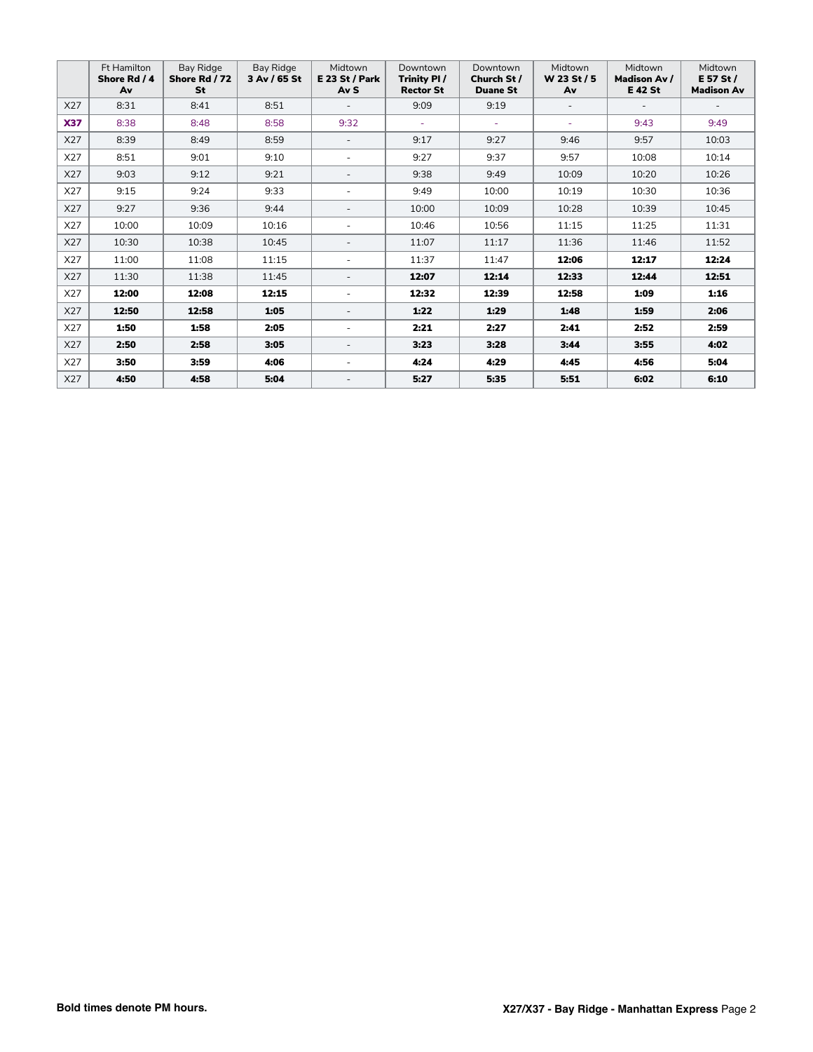|            | Ft Hamilton<br>Shore Rd / 4<br>Av | Bay Ridge<br>Shore Rd / 72<br>St | Bay Ridge<br>3 Av / 65 St | Midtown<br>$E$ 23 St / Park<br>Av S | Downtown<br>Trinity PI/<br><b>Rector St</b> | Downtown<br>Church St /<br><b>Duane St</b> | Midtown<br>W 23 St / 5<br>Av | Midtown<br><b>Madison Av /</b><br>E 42 St | Midtown<br>E 57 St /<br><b>Madison Av</b> |
|------------|-----------------------------------|----------------------------------|---------------------------|-------------------------------------|---------------------------------------------|--------------------------------------------|------------------------------|-------------------------------------------|-------------------------------------------|
| X27        | 8:31                              | 8:41                             | 8:51                      |                                     | 9:09                                        | 9:19                                       |                              |                                           |                                           |
| <b>X37</b> | 8:38                              | 8:48                             | 8:58                      | 9:32                                | ÷                                           | ٠                                          | ÷                            | 9:43                                      | 9:49                                      |
| X27        | 8:39                              | 8:49                             | 8:59                      | $\sim$                              | 9:17                                        | 9:27                                       | 9:46                         | 9:57                                      | 10:03                                     |
| X27        | 8:51                              | 9:01                             | 9:10                      | ٠                                   | 9:27                                        | 9:37                                       | 9:57                         | 10:08                                     | 10:14                                     |
| X27        | 9:03                              | 9:12                             | 9:21                      | $\overline{\phantom{a}}$            | 9:38                                        | 9:49                                       | 10:09                        | 10:20                                     | 10:26                                     |
| X27        | 9:15                              | 9:24                             | 9:33                      | $\sim$                              | 9:49                                        | 10:00                                      | 10:19                        | 10:30                                     | 10:36                                     |
| X27        | 9:27                              | 9:36                             | 9:44                      | $\overline{\phantom{a}}$            | 10:00                                       | 10:09                                      | 10:28                        | 10:39                                     | 10:45                                     |
| X27        | 10:00                             | 10:09                            | 10:16                     | ٠                                   | 10:46                                       | 10:56                                      | 11:15                        | 11:25                                     | 11:31                                     |
| X27        | 10:30                             | 10:38                            | 10:45                     | $\overline{\phantom{a}}$            | 11:07                                       | 11:17                                      | 11:36                        | 11:46                                     | 11:52                                     |
| X27        | 11:00                             | 11:08                            | 11:15                     | $\overline{\phantom{a}}$            | 11:37                                       | 11:47                                      | 12:06                        | 12:17                                     | 12:24                                     |
| X27        | 11:30                             | 11:38                            | 11:45                     | $\overline{\phantom{a}}$            | 12:07                                       | 12:14                                      | 12:33                        | 12:44                                     | 12:51                                     |
| X27        | 12:00                             | 12:08                            | 12:15                     | $\overline{\phantom{a}}$            | 12:32                                       | 12:39                                      | 12:58                        | 1:09                                      | 1:16                                      |
| X27        | 12:50                             | 12:58                            | 1:05                      | $\overline{\phantom{a}}$            | 1:22                                        | 1:29                                       | 1:48                         | 1:59                                      | 2:06                                      |
| X27        | 1:50                              | 1:58                             | 2:05                      | ٠                                   | 2:21                                        | 2:27                                       | 2:41                         | 2:52                                      | 2:59                                      |
| X27        | 2:50                              | 2:58                             | 3:05                      | $\overline{\phantom{a}}$            | 3:23                                        | 3:28                                       | 3:44                         | 3:55                                      | 4:02                                      |
| X27        | 3:50                              | 3:59                             | 4:06                      | ٠                                   | 4:24                                        | 4:29                                       | 4:45                         | 4:56                                      | 5:04                                      |
| X27        | 4:50                              | 4:58                             | 5:04                      | $\overline{\phantom{a}}$            | 5:27                                        | 5:35                                       | 5:51                         | 6:02                                      | 6:10                                      |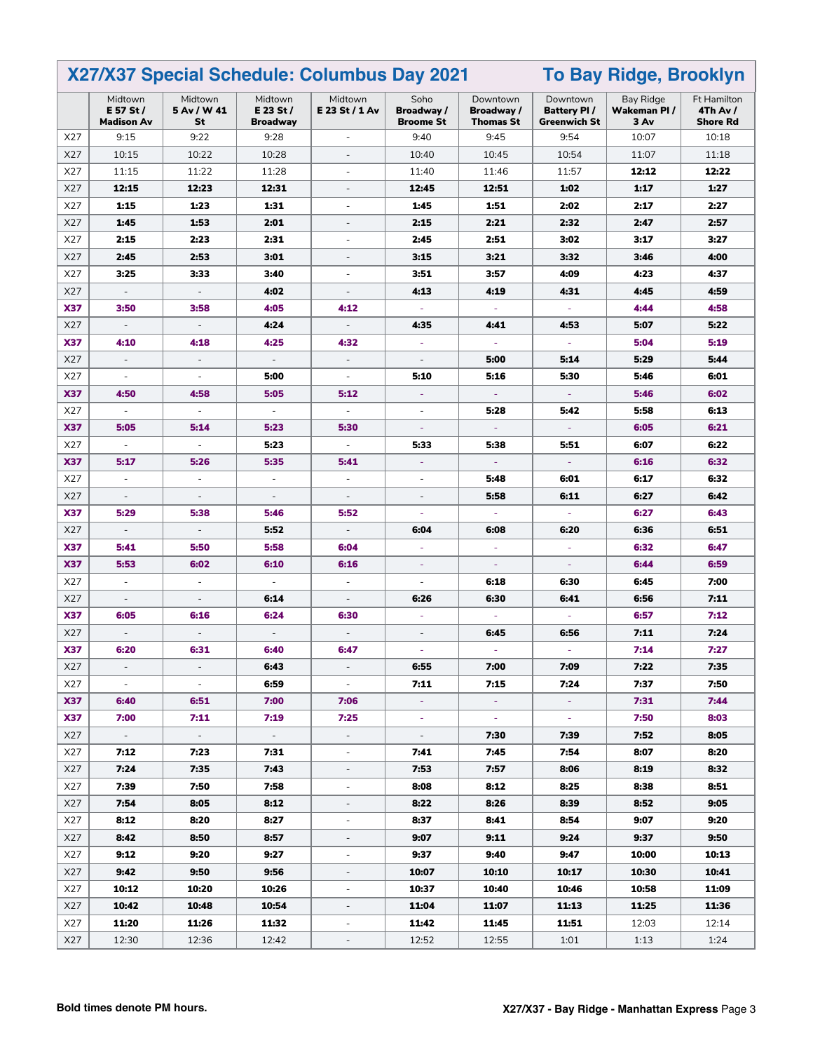| X27/X37 Special Schedule: Columbus Day 2021<br><b>To Bay Ridge, Brooklyn</b> |                                           |                              |                                           |                             |                                        |                                           |                                                       |                                          |                                            |
|------------------------------------------------------------------------------|-------------------------------------------|------------------------------|-------------------------------------------|-----------------------------|----------------------------------------|-------------------------------------------|-------------------------------------------------------|------------------------------------------|--------------------------------------------|
|                                                                              | Midtown<br>E 57 St /<br><b>Madison Av</b> | Midtown<br>5 Av / W 41<br>St | Midtown<br>$E$ 23 St /<br><b>Broadway</b> | Midtown<br>E 23 St / 1 Av   | Soho<br>Broadway /<br><b>Broome St</b> | Downtown<br>Broadway/<br><b>Thomas St</b> | Downtown<br><b>Battery PI/</b><br><b>Greenwich St</b> | <b>Bay Ridge</b><br>Wakeman PI /<br>3 Av | Ft Hamilton<br>4Th Av /<br><b>Shore Rd</b> |
| X27                                                                          | 9:15                                      | 9:22                         | 9:28                                      | $\overline{\phantom{a}}$    | 9:40                                   | 9:45                                      | 9:54                                                  | 10:07                                    | 10:18                                      |
| X27                                                                          | 10:15                                     | 10:22                        | 10:28                                     | $\overline{\phantom{a}}$    | 10:40                                  | 10:45                                     | 10:54                                                 | 11:07                                    | 11:18                                      |
| X27                                                                          | 11:15                                     | 11:22                        | 11:28                                     | ÷,                          | 11:40                                  | 11:46                                     | 11:57                                                 | 12:12                                    | 12:22                                      |
| X27                                                                          | 12:15                                     | 12:23                        | 12:31                                     | ÷,                          | 12:45                                  | 12:51                                     | 1:02                                                  | 1:17                                     | 1:27                                       |
| X27                                                                          | 1:15                                      | 1:23                         | 1:31                                      | ÷,                          | 1:45                                   | 1:51                                      | 2:02                                                  | 2:17                                     | 2:27                                       |
| X27                                                                          | 1:45                                      | 1:53                         | 2:01                                      | $\overline{\phantom{m}}$    | 2:15                                   | 2:21                                      | 2:32                                                  | 2:47                                     | 2:57                                       |
| X27                                                                          | 2:15                                      | 2:23                         | 2:31                                      | $\overline{\phantom{a}}$    | 2:45                                   | 2:51                                      | 3:02                                                  | 3:17                                     | 3:27                                       |
| X27                                                                          | 2:45                                      | 2:53                         | 3:01                                      | $\overline{\phantom{a}}$    | 3:15                                   | 3:21                                      | 3:32                                                  | 3:46                                     | 4:00                                       |
| X27                                                                          | 3:25                                      | 3:33                         | 3:40                                      | $\blacksquare$              | 3:51                                   | 3:57                                      | 4:09                                                  | 4:23                                     | 4:37                                       |
| X27                                                                          | $\overline{\phantom{a}}$                  | $\overline{\phantom{a}}$     | 4:02                                      | $\overline{\phantom{a}}$    | 4:13                                   | 4:19                                      | 4:31                                                  | 4:45                                     | 4:59                                       |
| <b>X37</b>                                                                   | 3:50                                      | 3:58                         | 4:05                                      | 4:12                        | $\overline{\phantom{a}}$               | ÷,                                        | ÷,                                                    | 4:44                                     | 4:58                                       |
| X27                                                                          | $\blacksquare$                            | $\overline{\phantom{a}}$     | 4:24                                      | $\overline{a}$              | 4:35                                   | 4:41                                      | 4:53                                                  | 5:07                                     | 5:22                                       |
| <b>X37</b>                                                                   | 4:10                                      | 4:18                         | 4:25                                      | 4:32                        | $\blacksquare$                         | Ξ                                         | $\overline{\phantom{a}}$                              | 5:04                                     | 5:19                                       |
| X27                                                                          | $\overline{\phantom{a}}$                  | $\overline{\phantom{a}}$     | $\overline{\phantom{a}}$                  | $\overline{\phantom{a}}$    | $\overline{\phantom{a}}$               | 5:00                                      | 5:14                                                  | 5:29                                     | 5:44                                       |
| X27                                                                          | $\overline{\phantom{a}}$                  | $\overline{\phantom{a}}$     | 5:00                                      | $\overline{\phantom{a}}$    | 5:10                                   | 5:16                                      | 5:30                                                  | 5:46                                     | 6:01                                       |
| <b>X37</b>                                                                   | 4:50                                      | 4:58                         | 5:05                                      | 5:12                        | Ξ                                      | ÷,                                        |                                                       | 5:46                                     | 6:02                                       |
| X27                                                                          | $\overline{\phantom{a}}$                  | $\overline{\phantom{a}}$     | $\overline{\phantom{a}}$                  | $\overline{\phantom{a}}$    | $\overline{\phantom{a}}$               | 5:28                                      | 5:42                                                  | 5:58                                     | 6:13                                       |
| <b>X37</b>                                                                   | 5:05                                      | 5:14                         | 5:23                                      | 5:30                        | ÷,                                     |                                           |                                                       | 6:05                                     | 6:21                                       |
| X27                                                                          | $\blacksquare$                            | $\blacksquare$               | 5:23                                      | $\overline{\phantom{a}}$    | 5:33                                   | 5:38                                      | 5:51                                                  | 6:07                                     | 6:22                                       |
| <b>X37</b>                                                                   | 5:17                                      | 5:26                         | 5:35                                      | 5:41                        | ÷                                      |                                           |                                                       | 6:16                                     | 6:32                                       |
| X27                                                                          | $\overline{\phantom{a}}$                  | $\overline{\phantom{a}}$     | $\overline{\phantom{a}}$                  | $\overline{\phantom{a}}$    | $\overline{\phantom{a}}$               | 5:48                                      | 6:01                                                  | 6:17                                     | 6:32                                       |
| X27                                                                          | $\overline{\phantom{a}}$                  |                              |                                           | $\overline{\phantom{a}}$    | $\overline{\phantom{a}}$               | 5:58                                      | 6:11                                                  | 6:27                                     | 6:42                                       |
| <b>X37</b>                                                                   | 5:29                                      | 5:38                         | 5:46                                      | 5:52                        | ä,                                     | ÷,                                        | $\omega$                                              | 6:27                                     | 6:43                                       |
| X27                                                                          | $\overline{\phantom{a}}$                  | $\overline{\phantom{a}}$     | 5:52                                      | $\overline{\phantom{a}}$    | 6:04                                   | 6:08                                      | 6:20                                                  | 6:36                                     | 6:51                                       |
| <b>X37</b>                                                                   | 5:41                                      | 5:50                         | 5:58                                      | 6:04                        | $\overline{\phantom{a}}$               | ÷,                                        | ÷.                                                    | 6:32                                     | 6:47                                       |
| <b>X37</b>                                                                   | 5:53                                      | 6:02                         | 6:10                                      | 6:16                        | $\Box$                                 | ÷                                         | ÷,                                                    | 6:44                                     | 6:59                                       |
| X27                                                                          | $\overline{\phantom{a}}$                  | $\overline{\phantom{a}}$     | $\overline{\phantom{a}}$                  | $\overline{\phantom{a}}$    | $\blacksquare$                         | 6:18                                      | 6:30                                                  | 6:45                                     | 7:00                                       |
| X27                                                                          | $\blacksquare$                            | $\overline{\phantom{a}}$     | 6:14                                      | $\overline{\phantom{a}}$    | 6:26                                   | 6:30                                      | 6:41                                                  | 6:56                                     | 7:11                                       |
| <b>X37</b>                                                                   | 6:05                                      | 6:16                         | 6:24                                      | 6:30                        | $\blacksquare$                         |                                           |                                                       | 6:57                                     | 7:12                                       |
| X27                                                                          | $\blacksquare$                            | $\blacksquare$               | $\blacksquare$                            | $\blacksquare$              | $\blacksquare$                         | 6:45                                      | 6:56                                                  | 7:11                                     | 7:24                                       |
| <b>X37</b>                                                                   | 6:20                                      | 6:31                         | 6:40                                      | 6:47                        |                                        |                                           |                                                       | 7:14                                     | 7:27                                       |
| X27                                                                          |                                           |                              | 6:43                                      |                             | 6:55                                   | 7:00                                      | 7:09                                                  | 7:22                                     | 7:35                                       |
| X27                                                                          | $\sim$                                    | $\sim$                       | 6:59                                      | $\sim$                      | 7:11                                   | 7:15                                      | 7:24                                                  | 7:37                                     | 7:50                                       |
| <b>X37</b>                                                                   | 6:40                                      | 6:51                         | 7:00                                      | 7:06                        | ÷.                                     | ÷.                                        | $\sigma_{\rm c}$                                      | 7:31                                     | 7:44                                       |
| <b>X37</b>                                                                   | 7:00                                      | 7:11                         | 7:19                                      | 7:25                        | $\omega$                               | $\sim$                                    | $\omega_{\rm c}$                                      | 7:50                                     | 8:03                                       |
| X27                                                                          | $\omega_{\rm c}$                          | $\omega_{\rm c}$             | $\omega_{\rm{eff}}$                       | $\mathcal{L}_{\mathcal{A}}$ | $\mathbb{Z}^{\mathbb{Z}}$              | 7:30                                      | 7:39                                                  | 7:52                                     | 8:05                                       |
| X27                                                                          | 7:12                                      | 7:23                         | 7:31                                      | $\overline{\phantom{a}}$    | 7:41                                   | 7:45                                      | 7:54                                                  | 8:07                                     | 8:20                                       |
| X27                                                                          | 7:24                                      | 7:35                         | 7:43                                      | $\overline{\phantom{a}}$    | 7:53                                   | 7:57                                      | 8:06                                                  | 8:19                                     | 8:32                                       |
| X27                                                                          | 7:39                                      | 7:50                         | 7:58                                      | $\overline{\phantom{a}}$    | 8:08                                   | 8:12                                      | 8:25                                                  | 8:38                                     | 8:51                                       |
| X27                                                                          | 7:54                                      | 8:05                         | 8:12                                      | $\overline{\phantom{a}}$    | 8:22                                   | 8:26                                      | 8:39                                                  | 8:52                                     | 9:05                                       |
| X27                                                                          | 8:12                                      | 8:20                         | 8:27                                      | $\overline{\phantom{a}}$    | 8:37                                   | 8:41                                      | 8:54                                                  | 9:07                                     | 9:20                                       |
| X27                                                                          | 8:42                                      | 8:50                         | 8:57                                      | $\overline{\phantom{a}}$    | 9:07                                   | 9:11                                      | 9:24                                                  | 9:37                                     | 9:50                                       |
| X27                                                                          | 9:12                                      | 9:20                         | 9:27                                      | $\overline{\phantom{a}}$    | 9:37                                   | 9:40                                      | 9:47                                                  | 10:00                                    | 10:13                                      |
| X27                                                                          | 9:42                                      | 9:50                         | 9:56                                      | $\overline{\phantom{a}}$    | 10:07                                  | 10:10                                     | 10:17                                                 | 10:30                                    | 10:41                                      |
| X27                                                                          | 10:12                                     | 10:20                        | 10:26                                     | $\overline{\phantom{a}}$    | 10:37                                  | 10:40                                     | 10:46                                                 | 10:58                                    | 11:09                                      |
| X27                                                                          | 10:42                                     | 10:48                        | 10:54                                     | $\overline{\phantom{0}}$    | 11:04                                  | 11:07                                     | 11:13                                                 | 11:25                                    | 11:36                                      |
| X27                                                                          | 11:20                                     | 11:26                        | 11:32                                     | $\overline{\phantom{a}}$    | 11:42                                  | 11:45                                     | 11:51                                                 | 12:03                                    | 12:14                                      |
| X27                                                                          | 12:30                                     | 12:36                        | 12:42                                     | $\overline{\phantom{a}}$    | 12:52                                  | 12:55                                     | 1:01                                                  | 1:13                                     | 1:24                                       |

┑